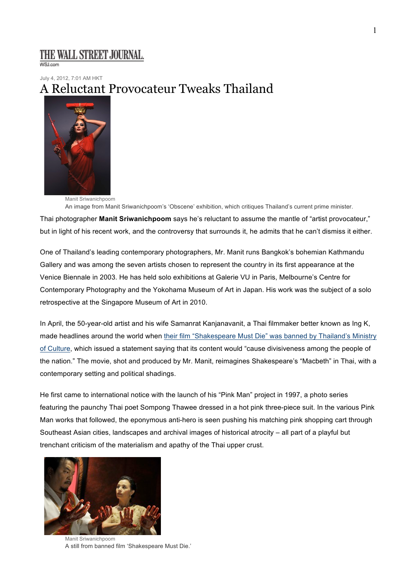## THE WALL STREET JOURNAL.

**WSLcom** 

July 4, 2012, 7:01 AM HKT

# A Reluctant Provocateur Tweaks Thailand



Manit Sriwanichpoom An image from Manit Sriwanichpoom's 'Obscene' exhibition, which critiques Thailand's current prime minister.

Thai photographer **Manit Sriwanichpoom** says he's reluctant to assume the mantle of "artist provocateur," but in light of his recent work, and the controversy that surrounds it, he admits that he can't dismiss it either.

One of Thailand's leading contemporary photographers, Mr. Manit runs Bangkok's bohemian Kathmandu Gallery and was among the seven artists chosen to represent the country in its first appearance at the Venice Biennale in 2003. He has held solo exhibitions at Galerie VU in Paris, Melbourne's Centre for Contemporary Photography and the Yokohama Museum of Art in Japan. His work was the subject of a solo retrospective at the Singapore Museum of Art in 2010.

In April, the 50-year-old artist and his wife Samanrat Kanjanavanit, a Thai filmmaker better known as Ing K, made headlines around the world when their film "Shakespeare Must Die" was banned by Thailand's Ministry of Culture, which issued a statement saying that its content would "cause divisiveness among the people of the nation." The movie, shot and produced by Mr. Manit, reimagines Shakespeare's "Macbeth" in Thai, with a contemporary setting and political shadings.

He first came to international notice with the launch of his "Pink Man" project in 1997, a photo series featuring the paunchy Thai poet Sompong Thawee dressed in a hot pink three-piece suit. In the various Pink Man works that followed, the eponymous anti-hero is seen pushing his matching pink shopping cart through Southeast Asian cities, landscapes and archival images of historical atrocity – all part of a playful but trenchant criticism of the materialism and apathy of the Thai upper crust.



Manit Sriwanichpoom A still from banned film 'Shakespeare Must Die.'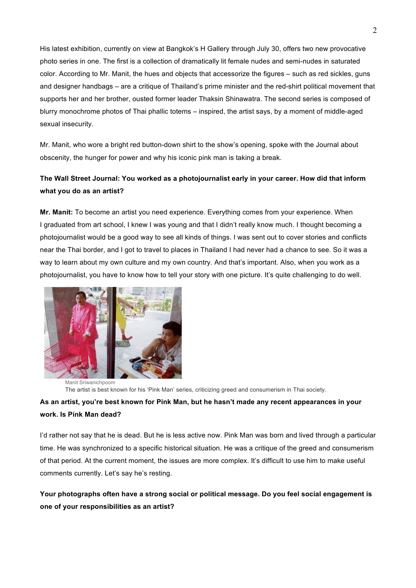His latest exhibition, currently on view at Bangkok's H Gallery through July 30, offers two new provocative photo series in one. The first is a collection of dramatically lit female nudes and semi-nudes in saturated color. According to Mr. Manit, the hues and objects that accessorize the figures – such as red sickles, guns and designer handbags – are a critique of Thailand's prime minister and the red-shirt political movement that supports her and her brother, ousted former leader Thaksin Shinawatra. The second series is composed of blurry monochrome photos of Thai phallic totems – inspired, the artist says, by a moment of middle-aged sexual insecurity.

Mr. Manit, who wore a bright red button-down shirt to the show's opening, spoke with the Journal about obscenity, the hunger for power and why his iconic pink man is taking a break.

### **The Wall Street Journal: You worked as a photojournalist early in your career. How did that inform what you do as an artist?**

**Mr. Manit:** To become an artist you need experience. Everything comes from your experience. When I graduated from art school, I knew I was young and that I didn't really know much. I thought becoming a photojournalist would be a good way to see all kinds of things. I was sent out to cover stories and conflicts near the Thai border, and I got to travel to places in Thailand I had never had a chance to see. So it was a way to learn about my own culture and my own country. And that's important. Also, when you work as a photojournalist, you have to know how to tell your story with one picture. It's quite challenging to do well.



Manit Sriwanichpoom The artist is best known for his 'Pink Man' series, criticizing greed and consumerism in Thai society.

## **As an artist, you're best known for Pink Man, but he hasn't made any recent appearances in your work. Is Pink Man dead?**

I'd rather not say that he is dead. But he is less active now. Pink Man was born and lived through a particular time. He was synchronized to a specific historical situation. He was a critique of the greed and consumerism of that period. At the current moment, the issues are more complex. It's difficult to use him to make useful comments currently. Let's say he's resting.

**Your photographs often have a strong social or political message. Do you feel social engagement is one of your responsibilities as an artist?**